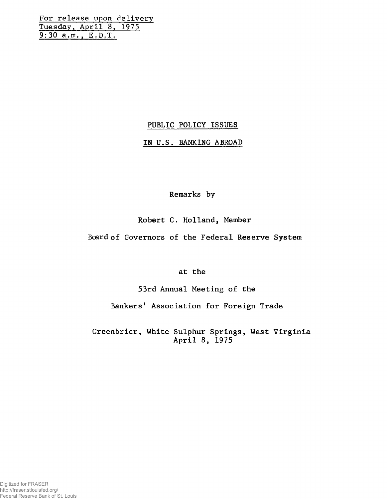For release upon delivery Tuesday, April 8, 1975 9:30 a.m., E.D.T.

# PUBLIC POLICY ISSUES

### IN U.S. BANKING ABROAD

Remarks by

# Robert C. Holland, Member

Board of Governors of the Federal Reserve System

# at the

53rd Annual Meeting of the

Bankers' Association for Foreign Trade

Greenbrier, White Sulphur Springs, West Virginia April 8, 1975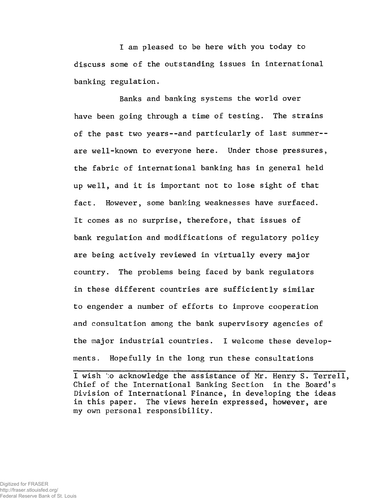I am pleased to be here with you today to discuss some of the outstanding issues in international banking regulation.

Banks and banking systems the world over have been going through a time of testing. The strains of the past two years--and particularly of last summer- are well-known to everyone here. Under those pressures, the fabric of international banking has in general held up well, and it is important not to lose sight of that fact. However, some banking weaknesses have surfaced. It comes as no surprise, therefore, that issues of bank regulation and modifications of regulatory policy are being actively reviewed in virtually every major country. The problems being faced by bank regulators in these different countries are sufficiently similar to engender a number of efforts to improve cooperation and consultation among the bank supervisory agencies of the major industrial countries. I welcome these developments. Hopefully in the long run these consultations

I wish to acknowledge the assistance of Mr. Henry S. Terrell, Chief of the International Banking Section in the Board's Division of International Finance, in developing the ideas in this paper. The views herein expressed, however, are my own personal responsibility.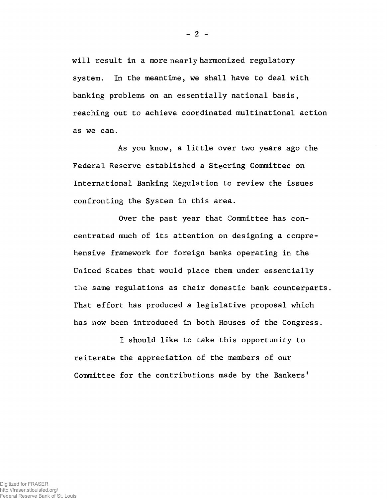will result in a more nearly harmonized regulatory system. In the meantime, we shall have to deal with banking problems on an essentially national basis, reaching out to achieve coordinated multinational action as we can.

As you know, a little over two years ago the Federal Reserve established a Steering Committee on International Banking Regulation to review the issues confronting the System in this area.

Over the past year that Committee has concentrated much of its attention on designing a comprehensive framework for foreign banks operating in the United States that would place them under essentially the same regulations as their domestic bank counterparts. That effort has produced a legislative proposal which has now been introduced in both Houses of the Congress.

I should like to take this opportunity to reiterate the appreciation of the members of our Committee for the contributions made by the Bankers'

 $-2 -$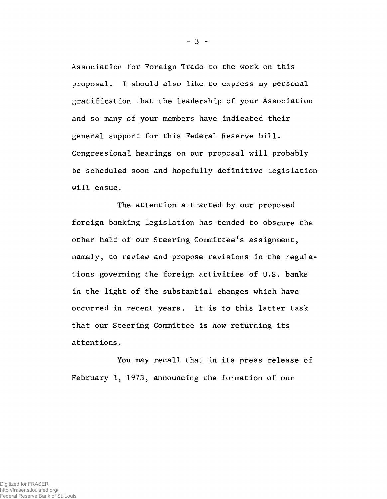Association for Foreign Trade to the work on this proposal. I should also like to express my personal gratification that the leadership of your Association and so many of your members have indicated their general support for this Federal Reserve bill. Congressional hearings on our proposal will probably be scheduled soon and hopefully definitive legislation will ensue.

The attention attracted by our proposed foreign banking legislation has tended to obscure the other half of our Steering Committee's assignment, namely, to review and propose revisions in the regulations governing the foreign activities of U.S. banks in the light of the substantial changes which have occurred in recent years. It is to this latter task that our Steering Committee is now returning its attentions.

You may recall that in its press release of February 1, 1973, announcing the formation of our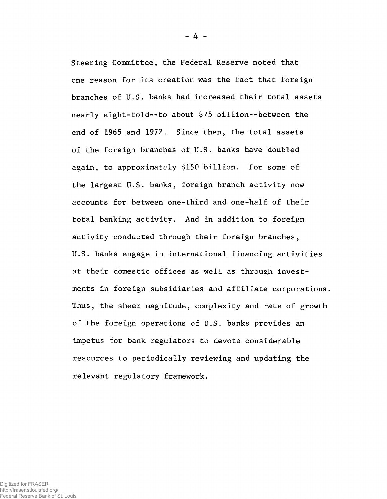Steering Committee, the Federal Reserve noted that one reason for its creation was the fact that foreign branches of U.S. banks had increased their total assets nearly eight-fold--to about \$75 billion--between the end of 1965 and 1972. Since then, the total assets of the foreign branches of U.S. banks have doubled again, to approximately \$150 billion. For some of the largest U.S. banks, foreign branch activity now accounts for between one-third and one-half of their total banking activity. And in addition to foreign activity conducted through their foreign branches, U.S. banks engage in international financing activities at their domestic offices as well as through investments in foreign subsidiaries and affiliate corporations. Thus, the sheer magnitude, complexity and rate of growth of the foreign operations of U.S. banks provides an impetus for bank regulators to devote considerable resources to periodically reviewing and updating the relevant regulatory framework.

 $- 4 -$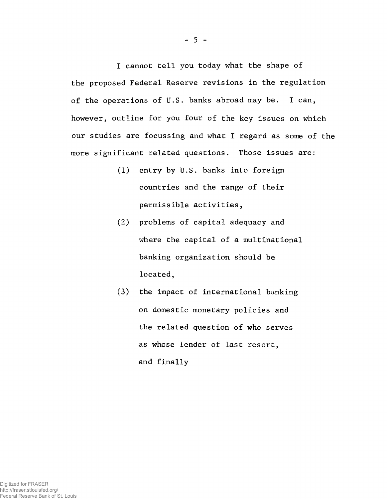I cannot tell you today what the shape of the proposed Federal Reserve revisions in the regulation of the operations of U.S. banks abroad may be. I can, however, outline for you four of the key issues on which our studies are focussing and what I regard as some of the more significant related questions. Those issues are:

- (1) entry by U.S. banks into foreign countries and the range of their permissible activities,
- (2) problems of capital adequacy and where the capital of a multinational banking organization should be located,
- (3) the impact of international banking on domestic monetary policies and the related question of who serves as whose lender of last resort, and finally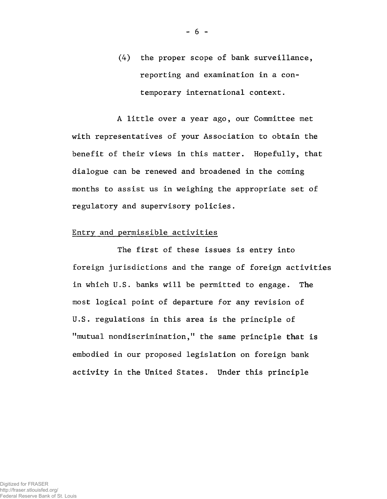(4) the proper scope of bank surveillance, reporting and examination in a contemporary international context.

A little over a year ago, our Committee met with representatives of your Association to obtain the benefit of their views in this matter. Hopefully, that dialogue can be renewed and broadened in the coming months to assist us in weighing the appropriate set of regulatory and supervisory policies.

### Entry and permissible activities

The first of these issues is entry into foreign jurisdictions and the range of foreign activities in which U.S. banks will be permitted to engage. The most logical point of departure for any revision of U.S. regulations in this area is the principle of "mutual nondiscrimination," the same principle that is embodied in our proposed legislation on foreign bank activity in the United States. Under this principle

 $- 6 -$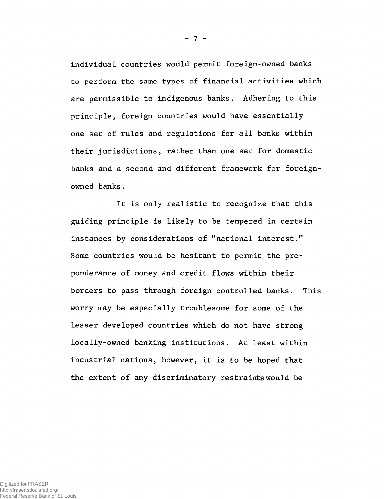individual countries would permit foreign-owned banks to perform the same types of financial activities which are permissible to indigenous banks. Adhering to this principle, foreign countries would have essentially one set of rules and regulations for all banks within their jurisdictions, rather than one set for domestic banks and a second and different framework for foreignowned banks.

It is only realistic to recognize that this guiding principle is likely to be tempered in certain instances by considerations of "national interest." Some countries would be hesitant to permit the preponderance of money and credit flows within their borders to pass through foreign controlled banks. This worry may be especially troublesome for some of the lesser developed countries which do not have strong locally-owned banking institutions. At least within industrial nations, however, it is to be hoped that the extent of any discriminatory restraints would be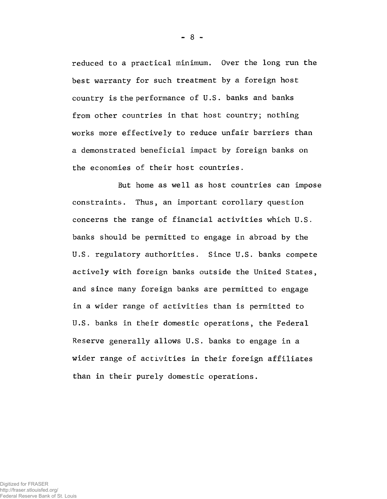reduced to a practical minimum. Over the long run the best warranty for such treatment by a foreign host country is the performance of U.S. banks and banks from other countries in that host country; nothing works more effectively to reduce unfair barriers than a demonstrated beneficial impact by foreign banks on the economies of their host countries.

But home as well as host countries can impose constraints. Thus, an important corollary question concerns the range of financial activities which U.S. banks should be permitted to engage in abroad by the U.S. regulatory authorities. Since U.S. banks compete actively with foreign banks outside the United States, and since many foreign banks are permitted to engage in a wider range of activities than is permitted to U.S. banks in their domestic operations, the Federal Reserve generally allows U.S. banks to engage in a wider range of activities in their foreign affiliates than in their purely domestic operations.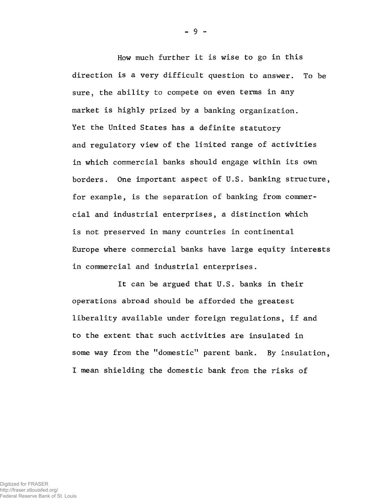How much further it is wise to go in this direction is a very difficult question to answer. To be sure, the ability to compete on even terms in any market is highly prized by a banking organization. Yet the United States has a definite statutory and regulatory view of the limited range of activities in which commercial banks should engage within its own borders. One important aspect of U.S. banking structure, for example, is the separation of banking from commercial and industrial enterprises, a distinction which is not preserved in many countries in continental Europe where commercial banks have large equity interests in commercial and industrial enterprises.

It can be argued that U.S. banks in their operations abroad should be afforded the greatest liberality available under foreign regulations, if and to the extent that such activities are insulated in some way from the "domestic" parent bank. By insulation, I mean shielding the domestic bank from the risks of

- 9 -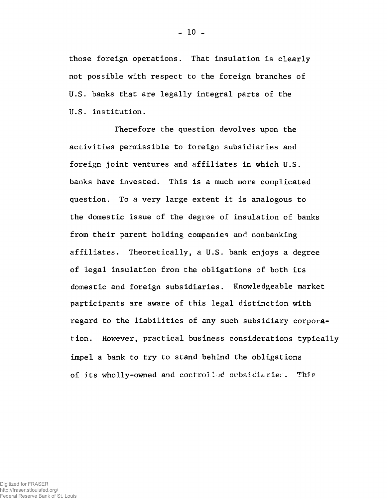those foreign operations. That insulation is clearly not possible with respect to the foreign branches of U.S. banks that are legally integral parts of the U.S. institution.

Therefore the question devolves upon the activities permissible to foreign subsidiaries and foreign joint ventures and affiliates in which U.S. banks have invested. This is a much more complicated question. To a very large extent it is analogous to the domestic issue of the degree of insulation of banks from their parent holding companies and nonbanking affiliates. Theoretically, a U.S. bank enjoys a degree of legal insulation from the obligations of both its domestic and foreign subsidiaries. Knowledgeable market participants are aware of this legal distinction with regard to the liabilities of any such subsidiary corporation. However, practical business considerations typically impel a bank to try to stand behind the obligations of its wholly-owned and controlled subsidiarier. This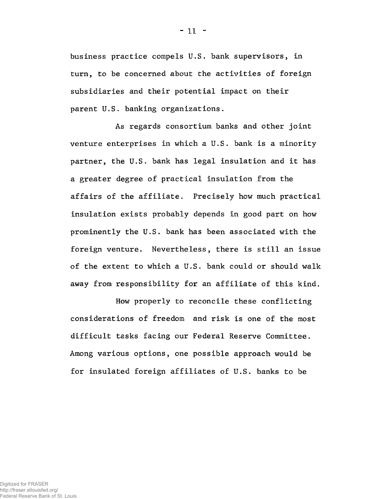business practice compels U.S. bank supervisors, in turn, to be concerned about the activities of foreign subsidiaries and their potential impact on their parent U.S. banking organizations.

As regards consortium banks and other joint venture enterprises in which a U.S. bank is a minority partner, the U.S. bank has legal insulation and it has a greater degree of practical insulation from the affairs of the affiliate. Precisely how much practical insulation exists probably depends in good part on how prominently the U.S. bank has been associated with the foreign venture. Nevertheless, there is still an issue of the extent to which a U.S. bank could or should walk away from responsibility for an affiliate of this kind.

How properly to reconcile these conflicting considerations of freedom and risk is one of the most difficult tasks facing our Federal Reserve Committee. Among various options, one possible approach would be for insulated foreign affiliates of U.S. banks to be

 $-11 -$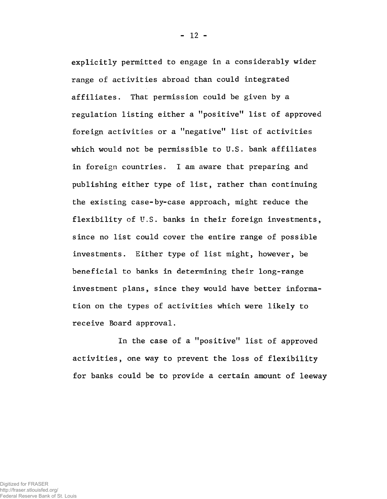explicitly permitted to engage in a considerably wider range of activities abroad than could integrated affiliates. That permission could be given by a regulation listing either a "positive" list of approved foreign activities or a "negative" list of activities which would not be permissible to U.S. bank affiliates in foreign countries. I am aware that preparing and publishing either type of list, rather than continuing the existing case-by-case approach, might reduce the flexibility of U.S. banks in their foreign investments, since no list could cover the entire range of possible investments. Either type of list might, however, be beneficial to banks in determining their long-range investment plans, since they would have better information on the types of activities which were likely to receive Board approval.

In the case of a "positive" list of approved activities, one way to prevent the loss of flexibility for banks could be to provide a certain amount of leeway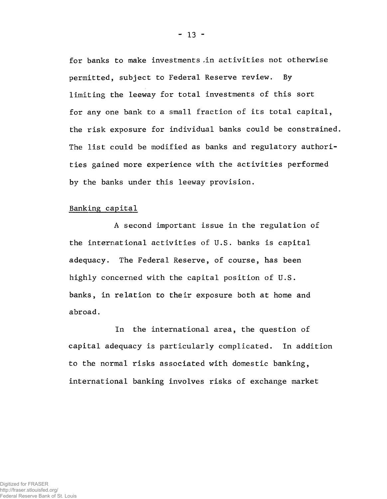for banks to make investments ,in activities not otherwise permitted, subject to Federal Reserve review. By limiting the leeway for total investments of this sort for any one bank to a small fraction of its total capital, the risk exposure for individual banks could be constrained. The list could be modified as banks and regulatory authorities gained more experience with the activities performed by the banks under this leeway provision.

### Banking capital

A second important issue in the regulation of the international activities of U.S. banks is capital adequacy. The Federal Reserve, of course, has been highly concerned with the capital position of U.S. banks, in relation to their exposure both at home and abroad.

In the international area, the question of capital adequacy is particularly complicated. In addition to the normal risks associated with domestic banking, international banking involves risks of exchange market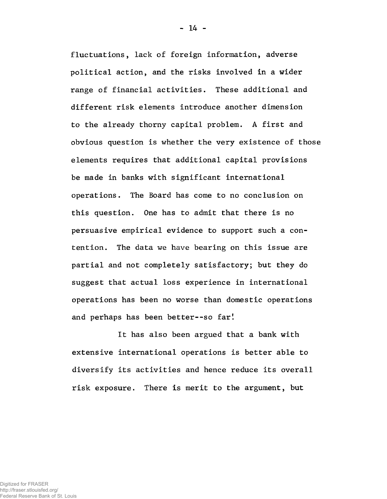fluctuations, lack of foreign information, adverse political action, and the risks involved in a wider range of financial activities. These additional and different risk elements introduce another dimension to the already thorny capital problem. A first and obvious question is whether the very existence of those elements requires that additional capital provisions be made in banks with significant international operations. The Board has come to no conclusion on this question. One has to admit that there is no persuasive empirical evidence to support such a contention. The data we have bearing on this issue are partial and not completely satisfactory; but they do suggest that actual loss experience in international operations has been no worse than domestic operations and perhaps has been better--so far!

 $- 14 -$ 

It has also been argued that a bank with extensive international operations is better able to diversify its activities and hence reduce its overall risk exposure. There is merit to the argument, but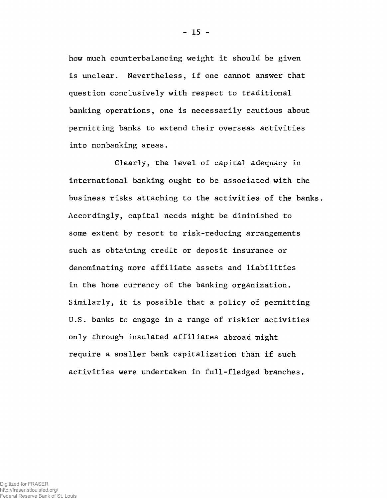how much counterbalancing weight it should be given is unclear. Nevertheless, if one cannot answer that question conclusively with respect to traditional banking operations, one is necessarily cautious about permitting banks to extend their overseas activities into nonbanking areas.

Clearly, the level of capital adequacy in international banking ought to be associated with the business risks attaching to the activities of the banks. Accordingly, capital needs might be diminished to some extent by resort to risk-reducing arrangements such as obtaining credit or deposit insurance or denominating more affiliate assets and liabilities in the home currency of the banking organization. Similarly, it is possible that a policy of permitting U.S. banks to engage in a range of riskier activities only through insulated affiliates abroad might require a smaller bank capitalization than if such activities were undertaken in full-fledged branches.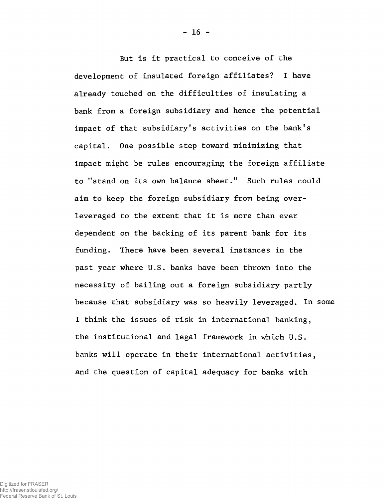But is it practical to conceive of the development of insulated foreign affiliates? I have already touched on the difficulties of insulating a bank from a foreign subsidiary and hence the potential impact of that subsidiary's activities on the bank's capital. One possible step toward minimizing that impact might be rules encouraging the foreign affiliate to "stand on its own balance sheet." Such rules could aim to keep the foreign subsidiary from being overleveraged to the extent that it is more than ever dependent on the backing of its parent bank for its funding. There have been several instances in the past year where U.S. banks have been thrown into the necessity of bailing out a foreign subsidiary partly because that subsidiary was so heavily leveraged. In some I think the issues of risk in international banking, the institutional and legal framework in which U.S. banks will operate in their international activities, and the question of capital adequacy for banks with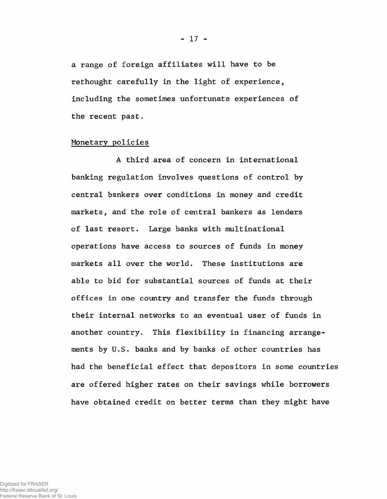a range of foreign affiliates will have to be rethought carefully in the light of experience, including the sometimes unfortunate experiences of the recent past.

### Monetary policies

A third area of concern in international banking regulation involves questions of control by central bankers over conditions in money and credit markets, and the role of central bankers as lenders of last resort. Large banks with multinational operations have access to sources of funds in money markets all over the world. These institutions are able to bid for substantial sources of funds at their offices in one country and transfer the funds through their internal networks to an eventual user of funds in another country. This flexibility in financing arrangements by U.S. banks and by banks of other countries has had the beneficial effect that depositors in some countries are offered higher rates on their savings while borrowers have obtained credit on better terms than they might have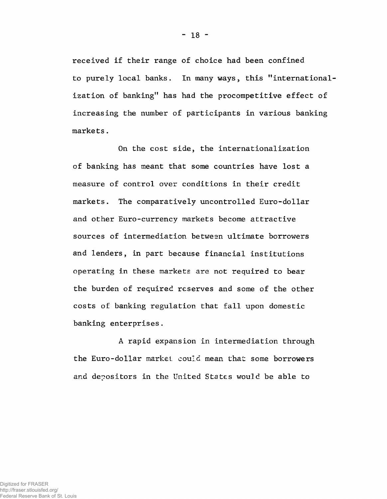received if their range of choice had been confined to purely local banks. In many ways, this "internationalization of banking" has had the procompetitive effect of increasing the number of participants in various banking markets.

On the cost side, the internationalization of banking has meant that some countries have lost a measure of control over conditions in their credit markets. The comparatively uncontrolled Euro-dollar and other Euro-currency markets become attractive sources of intermediation between ultimate borrowers and lenders, in part because financial institutions operating in these markets are not required to bear the burden of required reserves and some of the other costs of banking regulation that fall upon domestic banking enterprises.

A rapid expansion in intermediation through the Euro-dollar market could mean that some borrowers and depositors in the United States would be able to

 $-18 -$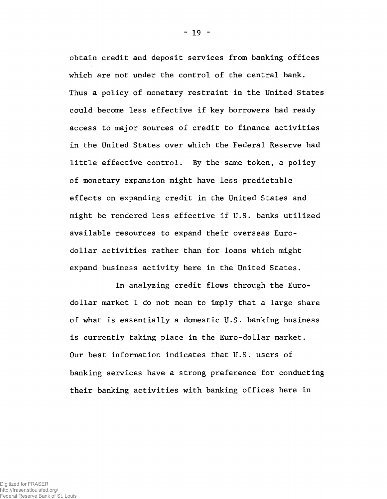obtain credit and deposit services from banking offices which are not under the control of the central bank. Thus a policy of monetary restraint in the United States could become less effective if key borrowers had ready access to major sources of credit to finance activities in the United States over which the Federal Reserve had little effective control. By the same token, a policy of monetary expansion might have less predictable effects on expanding credit in the United States and might be rendered less effective if U.S. banks utilized available resources to expand their overseas Eurodollar activities rather than for loans which might expand business activity here in the United States.

In analyzing credit flows through the Eurodollar market I do not mean to imply that a large share of what is essentially a domestic U.S. banking business is currently taking place in the Euro-dollar market. Our best information indicates that U.S. users of banking services have a strong preference for conducting their banking activities with banking offices here in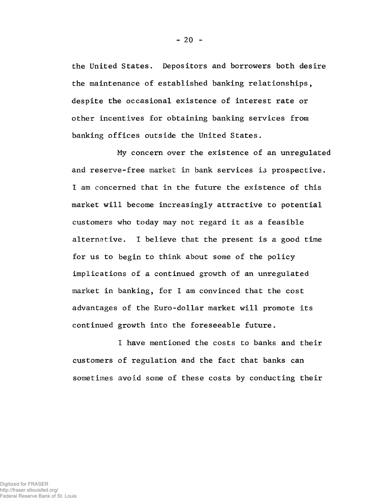the United States. Depositors and borrowers both desire the maintenance of established banking relationships, despite the occasional existence of interest rate or other incentives for obtaining banking services from banking offices outside the United States.

My concern over the existence of an unregulated and reserve-free market in bank services i3 prospective. I am concerned that in the future the existence of this market will become increasingly attractive to potential customers who today may not regard it as a feasible alternative. I believe that the present is a good time for us to begin to think about some of the policy implications of a continued growth of an unregulated market in banking, for I am convinced that the cost advantages of the Euro-dollar market will promote its continued growth into the foreseeable future.

I have mentioned the costs to banks and their customers of regulation and the fact that banks can sometimes avoid some of these costs by conducting their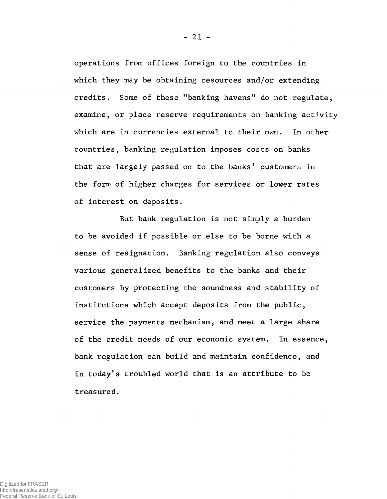operations from offices foreign to the countries in which they may be obtaining resources and/or extending credits. Some of these ''banking havens" do not regulate, examine, or place reserve requirements on banking activity which are in currencies external to their own. In other countries, banking regulation imposes costs on banks that are largely passed on to the banks' customers in the form of higher charges for services or lower rates of interest on deposits.

But bank regulation is not simply a burden to be avoided if possible or else to be borne with a sense of resignation. Banking regulation also conveys various generalized benefits to the banks and their customers by protecting the soundness and stability of institutions which accept deposits from the public, service the payments mechanism, and meet a large share of the credit needs of our economic system. In essence, bank regulation can build and maintain confidence, and in today's troubled world that is an attribute to be treasured.

- 21 -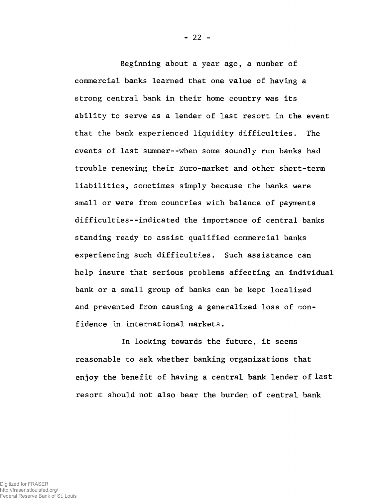Beginning about a year ago, a number of commercial banks learned that one value of having a strong central bank in their home country was its ability to serve as a lender of last resort in the event that the bank experienced liquidity difficulties. The events of last summer--when some soundly run banks had trouble renewing their Euro-market and other short-term liabilities, sometimes simply because the banks were small or were from countries with balance of payments difficulties--indicated the importance of central banks standing ready to assist qualified commercial banks experiencing such difficulties. Such assistance can help insure that serious problems affecting an individual bank or a small group of banks can be kept localized and prevented from causing a generalized loss of confidence in international markets.

In looking towards the future, it seems reasonable to ask whether banking organizations that enjoy the benefit of having a central bank lender of last resort should not also bear the burden of central bank

- 22 -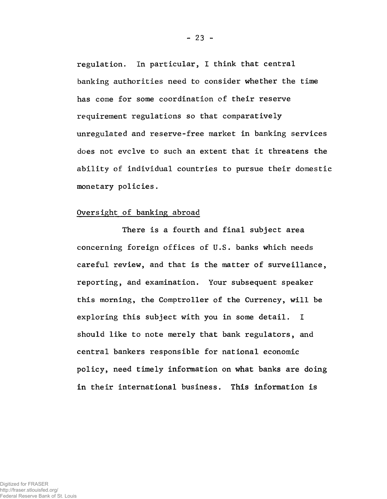regulation. In particular, I think that central banking authorities need to consider whether the time has come for some coordination of their reserve requirement regulations so that comparatively unregulated and reserve-free market in banking services does not evclve to such an extent that it threatens the ability of individual countries to pursue their domestic monetary policies.

#### Oversight of banking abroad

There is a fourth and final subject area concerning foreign offices of U.S. banks which needs careful review, and that is the matter of surveillance, reporting, and examination. Your subsequent speaker this morning, the Comptroller of the Currency, will be exploring this subject with you in some detail. I should like to note merely that bank regulators, and central bankers responsible for national economic policy, need timely information on what banks are doing in their international business. This information is

Federal Reserve Bank of St. Louis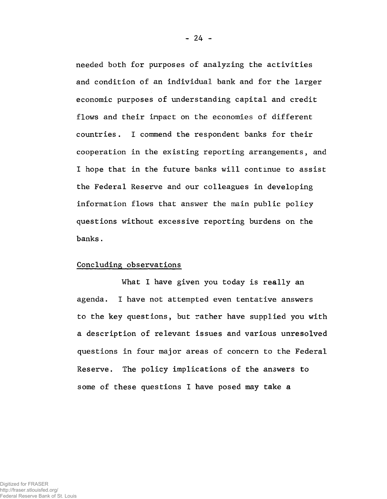needed both for purposes of analyzing the activities and condition of an individual bank and for the larger economic purposes of understanding capital and credit flows and their impact on the economies of different countries. I commend the respondent banks for their cooperation in the existing reporting arrangements, and I hope that in the future banks will continue to assist the Federal Reserve and our colleagues in developing information flows that answer the main public policy questions without excessive reporting burdens on the banks.

#### Concluding observations

What I have given you today is really an agenda. I have not attempted even tentative answers to the key questions, but rather have supplied you with a description of relevant issues and various unresolved questions in four major areas of concern to the Federal Reserve. The policy implications of the answers to some of these questions I have posed may take a